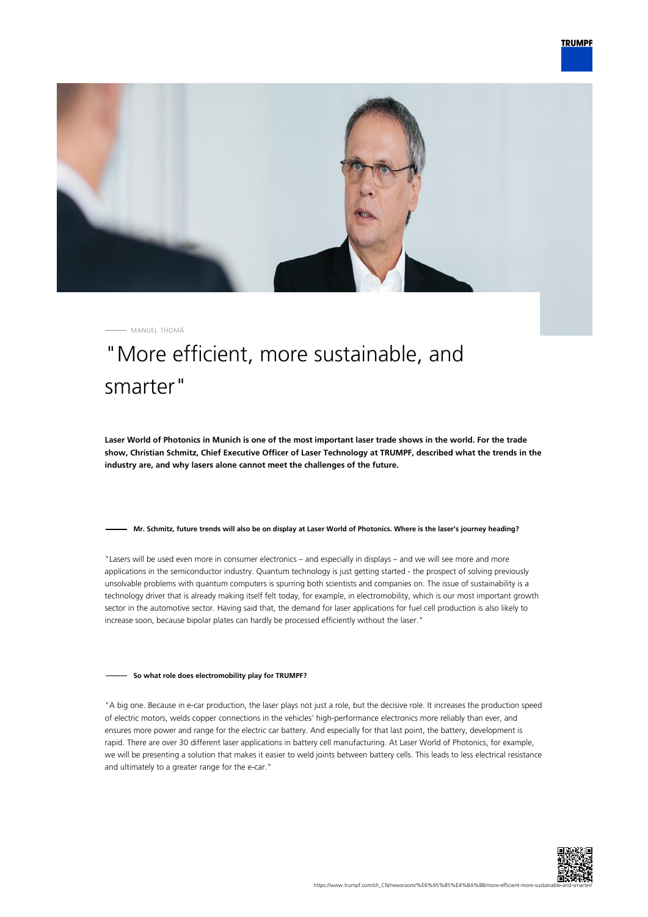



MANUEL THOMÄ

# "More efficient, more sustainable, and smarter"

**Laser World of Photonics in Munich is one of the most important laser trade shows in the world. For the trade show, Christian Schmitz, Chief Executive Officer of Laser Technology at TRUMPF, described what the trends in the industry are, and why lasers alone cannot meet the challenges of the future.**

#### **Mr. Schmitz, future trends will also be on display at Laser World of Photonics. Where is the laser's journey heading?**

"Lasers will be used even more in consumer electronics – and especially in displays – and we will see more and more applications in the semiconductor industry. Quantum technology is just getting started - the prospect of solving previously unsolvable problems with quantum computers is spurring both scientists and companies on. The issue of sustainability is a technology driver that is already making itself felt today, for example, in electromobility, which is our most important growth sector in the automotive sector. Having said that, the demand for laser applications for fuel cell production is also likely to increase soon, because bipolar plates can hardly be processed efficiently without the laser."

## **So what role does electromobility play for TRUMPF?**

"A big one. Because in e-car production, the laser plays not just a role, but the decisive role. It increases the production speed of electric motors, welds copper connections in the vehicles' high-performance electronics more reliably than ever, and ensures more power and range for the electric car battery. And especially for that last point, the battery, development is rapid. There are over 30 different laser applications in battery cell manufacturing. At Laser World of Photonics, for example, we will be presenting a solution that makes it easier to weld joints between battery cells. This leads to less electrical resistance and ultimately to a greater range for the e-car."